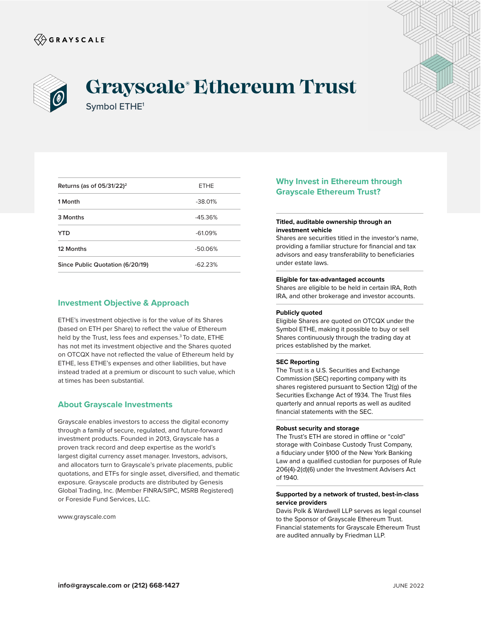



# **Grayscale® Ethereum Trust** Symbol ETHE1

| Returns (as of $05/31/22$ ) <sup>2</sup> | <b>ETHE</b> |
|------------------------------------------|-------------|
| 1 Month                                  | $-38.01%$   |
| 3 Months                                 | $-45.36%$   |
| YTD                                      | $-61.09%$   |
| 12 Months                                | $-50.06%$   |
| Since Public Quotation (6/20/19)         | $-62.23%$   |

# **Investment Objective & Approach**

ETHE's investment objective is for the value of its Shares (based on ETH per Share) to reflect the value of Ethereum held by the Trust, less fees and expenses.<sup>3</sup> To date, ETHE has not met its investment objective and the Shares quoted on OTCQX have not reflected the value of Ethereum held by ETHE, less ETHE's expenses and other liabilities, but have instead traded at a premium or discount to such value, which at times has been substantial.

## **About Grayscale Investments**

Grayscale enables investors to access the digital economy through a family of secure, regulated, and future-forward investment products. Founded in 2013, Grayscale has a proven track record and deep expertise as the world's largest digital currency asset manager. Investors, advisors, and allocators turn to Grayscale's private placements, public quotations, and ETFs for single asset, diversified, and thematic exposure. Grayscale products are distributed by Genesis Global Trading, Inc. (Member FINRA/SIPC, MSRB Registered) or Foreside Fund Services, LLC.

www.grayscale.com

# **Why Invest in Ethereum through Grayscale Ethereum Trust?**

## **Titled, auditable ownership through an investment vehicle**

Shares are securities titled in the investor's name, providing a familiar structure for financial and tax advisors and easy transferability to beneficiaries under estate laws.

#### **Eligible for tax-advantaged accounts**

Shares are eligible to be held in certain IRA, Roth IRA, and other brokerage and investor accounts.

#### **Publicly quoted**

Eligible Shares are quoted on OTCQX under the Symbol ETHE, making it possible to buy or sell Shares continuously through the trading day at prices established by the market.

#### **SEC Reporting**

The Trust is a U.S. Securities and Exchange Commission (SEC) reporting company with its shares registered pursuant to Section 12(g) of the Securities Exchange Act of 1934. The Trust files quarterly and annual reports as well as audited financial statements with the SEC.

#### **Robust security and storage**

The Trust's ETH are stored in offline or "cold" storage with Coinbase Custody Trust Company, a fiduciary under §100 of the New York Banking Law and a qualified custodian for purposes of Rule 206(4)-2(d)(6) under the Investment Advisers Act of 1940.

## **Supported by a network of trusted, best-in-class service providers**

Davis Polk & Wardwell LLP serves as legal counsel to the Sponsor of Grayscale Ethereum Trust. Financial statements for Grayscale Ethereum Trust are audited annually by Friedman LLP.